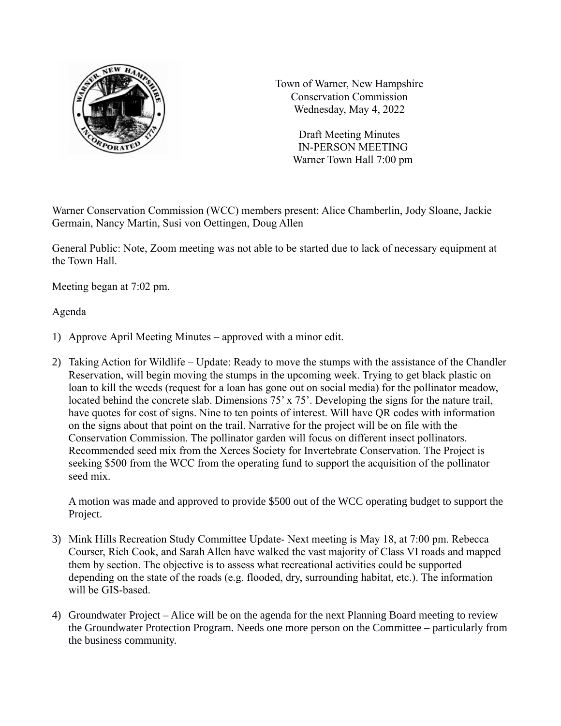

Town of Warner, New Hampshire Conservation Commission Wednesday, May 4, 2022

> Draft Meeting Minutes IN-PERSON MEETING Warner Town Hall 7:00 pm

Warner Conservation Commission (WCC) members present: Alice Chamberlin, Jody Sloane, Jackie Germain, Nancy Martin, Susi von Oettingen, Doug Allen

General Public: Note, Zoom meeting was not able to be started due to lack of necessary equipment at the Town Hall.

Meeting began at 7:02 pm.

Agenda

- 1) Approve April Meeting Minutes approved with a minor edit.
- 2) Taking Action for Wildlife Update: Ready to move the stumps with the assistance of the Chandler Reservation, will begin moving the stumps in the upcoming week. Trying to get black plastic on loan to kill the weeds (request for a loan has gone out on social media) for the pollinator meadow, located behind the concrete slab. Dimensions 75' x 75'. Developing the signs for the nature trail, have quotes for cost of signs. Nine to ten points of interest. Will have QR codes with information on the signs about that point on the trail. Narrative for the project will be on file with the Conservation Commission. The pollinator garden will focus on different insect pollinators. Recommended seed mix from the Xerces Society for Invertebrate Conservation. The Project is seeking \$500 from the WCC from the operating fund to support the acquisition of the pollinator seed mix.

A motion was made and approved to provide \$500 out of the WCC operating budget to support the Project.

- 3) Mink Hills Recreation Study Committee Update- Next meeting is May 18, at 7:00 pm. Rebecca Courser, Rich Cook, and Sarah Allen have walked the vast majority of Class VI roads and mapped them by section. The objective is to assess what recreational activities could be supported depending on the state of the roads (e.g. flooded, dry, surrounding habitat, etc.). The information will be GIS-based.
- 4) Groundwater Project Alice will be on the agenda for the next Planning Board meeting to review the Groundwater Protection Program. Needs one more person on the Committee – particularly from the business community.